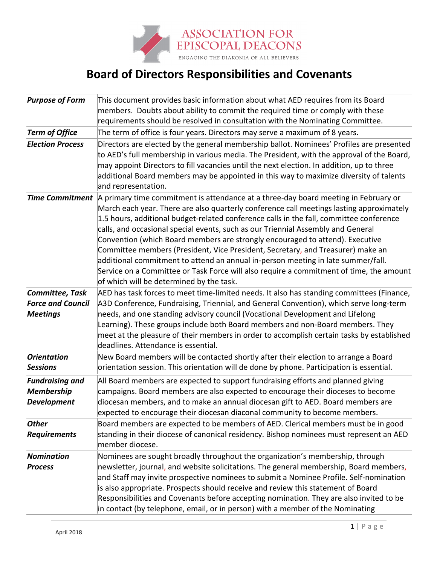

## **Board of Directors Responsibilities and Covenants**

| <b>Purpose of Form</b>   | This document provides basic information about what AED requires from its Board                                                     |
|--------------------------|-------------------------------------------------------------------------------------------------------------------------------------|
|                          | members. Doubts about ability to commit the required time or comply with these                                                      |
|                          | requirements should be resolved in consultation with the Nominating Committee.                                                      |
| <b>Term of Office</b>    | The term of office is four years. Directors may serve a maximum of 8 years.                                                         |
| <b>Election Process</b>  | Directors are elected by the general membership ballot. Nominees' Profiles are presented                                            |
|                          | to AED's full membership in various media. The President, with the approval of the Board,                                           |
|                          | may appoint Directors to fill vacancies until the next election. In addition, up to three                                           |
|                          | additional Board members may be appointed in this way to maximize diversity of talents                                              |
|                          | and representation.                                                                                                                 |
| <b>Time Commitment</b>   | A primary time commitment is attendance at a three-day board meeting in February or                                                 |
|                          | March each year. There are also quarterly conference call meetings lasting approximately                                            |
|                          | 1.5 hours, additional budget-related conference calls in the fall, committee conference                                             |
|                          | calls, and occasional special events, such as our Triennial Assembly and General                                                    |
|                          | Convention (which Board members are strongly encouraged to attend). Executive                                                       |
|                          | Committee members (President, Vice President, Secretary, and Treasurer) make an                                                     |
|                          | additional commitment to attend an annual in-person meeting in late summer/fall.                                                    |
|                          | Service on a Committee or Task Force will also require a commitment of time, the amount<br>of which will be determined by the task. |
| Committee, Task          | AED has task forces to meet time-limited needs. It also has standing committees (Finance,                                           |
| <b>Force and Council</b> | A3D Conference, Fundraising, Triennial, and General Convention), which serve long-term                                              |
| <b>Meetings</b>          | needs, and one standing advisory council (Vocational Development and Lifelong                                                       |
|                          | Learning). These groups include both Board members and non-Board members. They                                                      |
|                          | meet at the pleasure of their members in order to accomplish certain tasks by established                                           |
|                          | deadlines. Attendance is essential.                                                                                                 |
| <b>Orientation</b>       | New Board members will be contacted shortly after their election to arrange a Board                                                 |
| <b>Sessions</b>          | orientation session. This orientation will de done by phone. Participation is essential.                                            |
| <b>Fundraising and</b>   | All Board members are expected to support fundraising efforts and planned giving                                                    |
| <b>Membership</b>        | campaigns. Board members are also expected to encourage their dioceses to become                                                    |
| <b>Development</b>       | diocesan members, and to make an annual diocesan gift to AED. Board members are                                                     |
|                          | expected to encourage their diocesan diaconal community to become members.                                                          |
| <b>Other</b>             | Board members are expected to be members of AED. Clerical members must be in good                                                   |
| <b>Requirements</b>      | standing in their diocese of canonical residency. Bishop nominees must represent an AED                                             |
|                          | member diocese.                                                                                                                     |
| <b>Nomination</b>        | Nominees are sought broadly throughout the organization's membership, through                                                       |
| <b>Process</b>           | newsletter, journal, and website solicitations. The general membership, Board members,                                              |
|                          | and Staff may invite prospective nominees to submit a Nominee Profile. Self-nomination                                              |
|                          | is also appropriate. Prospects should receive and review this statement of Board                                                    |
|                          | Responsibilities and Covenants before accepting nomination. They are also invited to be                                             |
|                          | in contact (by telephone, email, or in person) with a member of the Nominating                                                      |